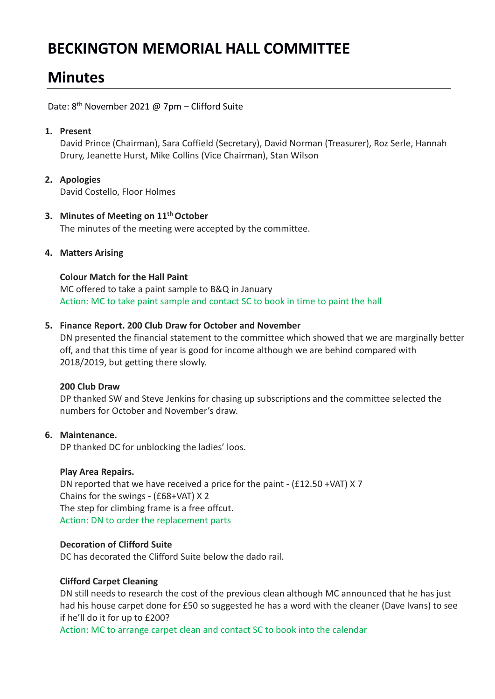# **BECKINGTON MEMORIAL HALL COMMITTEE**

# **Minutes**

Date: 8<sup>th</sup> November 2021 @ 7pm - Clifford Suite

## **1. Present**

David Prince (Chairman), Sara Coffield (Secretary), David Norman (Treasurer), Roz Serle, Hannah Drury, Jeanette Hurst, Mike Collins (Vice Chairman), Stan Wilson

#### **2. Apologies** David Costello, Floor Holmes

### **3. Minutes of Meeting on 11th October** The minutes of the meeting were accepted by the committee.

## **4. Matters Arising**

## **Colour Match for the Hall Paint**

MC offered to take a paint sample to B&Q in January Action: MC to take paint sample and contact SC to book in time to paint the hall

## **5. Finance Report. 200 Club Draw for October and November**

DN presented the financial statement to the committee which showed that we are marginally better off, and that this time of year is good for income although we are behind compared with 2018/2019, but getting there slowly.

## **200 Club Draw**

DP thanked SW and Steve Jenkins for chasing up subscriptions and the committee selected the numbers for October and November's draw.

## **6. Maintenance.**

DP thanked DC for unblocking the ladies' loos.

## **Play Area Repairs.**

DN reported that we have received a price for the paint - (£12.50 +VAT) X 7 Chains for the swings - (£68+VAT) X 2 The step for climbing frame is a free offcut. Action: DN to order the replacement parts

## **Decoration of Clifford Suite**

DC has decorated the Clifford Suite below the dado rail.

## **Clifford Carpet Cleaning**

DN still needs to research the cost of the previous clean although MC announced that he has just had his house carpet done for £50 so suggested he has a word with the cleaner (Dave Ivans) to see if he'll do it for up to £200?

Action: MC to arrange carpet clean and contact SC to book into the calendar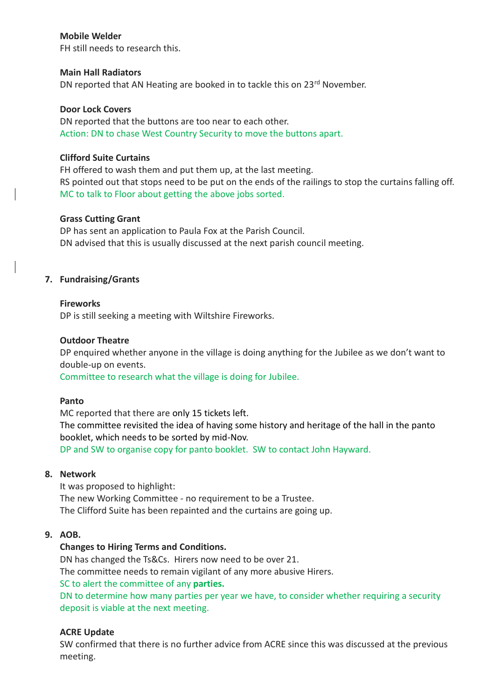### **Mobile Welder**

FH still needs to research this.

#### **Main Hall Radiators**

DN reported that AN Heating are booked in to tackle this on 23<sup>rd</sup> November.

### **Door Lock Covers**

DN reported that the buttons are too near to each other. Action: DN to chase West Country Security to move the buttons apart.

### **Clifford Suite Curtains**

FH offered to wash them and put them up, at the last meeting. RS pointed out that stops need to be put on the ends of the railings to stop the curtains falling off. MC to talk to Floor about getting the above jobs sorted.

### **Grass Cutting Grant**

DP has sent an application to Paula Fox at the Parish Council. DN advised that this is usually discussed at the next parish council meeting.

### **7. Fundraising/Grants**

#### **Fireworks**

DP is still seeking a meeting with Wiltshire Fireworks.

### **Outdoor Theatre**

DP enquired whether anyone in the village is doing anything for the Jubilee as we don't want to double-up on events.

Committee to research what the village is doing for Jubilee.

#### **Panto**

MC reported that there are only 15 tickets left. The committee revisited the idea of having some history and heritage of the hall in the panto booklet, which needs to be sorted by mid-Nov. DP and SW to organise copy for panto booklet. SW to contact John Hayward.

#### **8. Network**

It was proposed to highlight: The new Working Committee - no requirement to be a Trustee. The Clifford Suite has been repainted and the curtains are going up.

### **9. AOB.**

## **Changes to Hiring Terms and Conditions.**

DN has changed the Ts&Cs. Hirers now need to be over 21. The committee needs to remain vigilant of any more abusive Hirers. SC to alert the committee of any **parties.**

DN to determine how many parties per year we have, to consider whether requiring a security deposit is viable at the next meeting.

## **ACRE Update**

SW confirmed that there is no further advice from ACRE since this was discussed at the previous meeting.